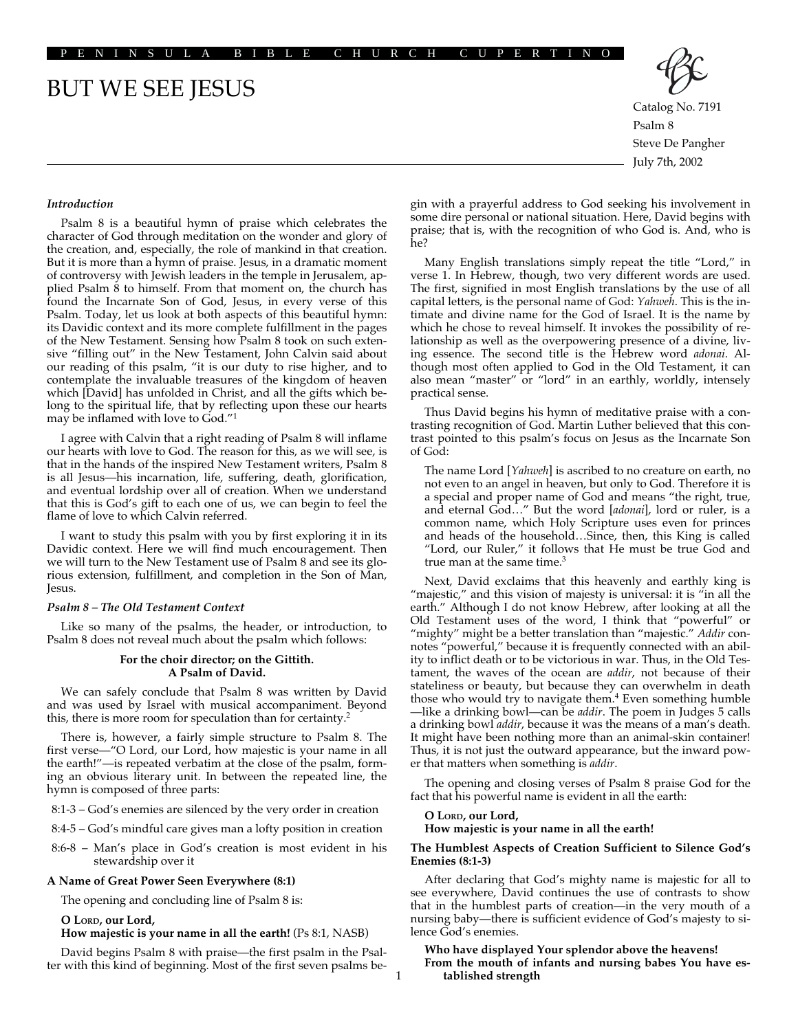PENINSULA BIBLE CHURCH CUPERTINO

# BUT WE SEE JESUS



Catalog No. 7191 Psalm 8 Steve De Pangher July 7th, 2002

#### *Introduction*

Psalm 8 is a beautiful hymn of praise which celebrates the character of God through meditation on the wonder and glory of the creation, and, especially, the role of mankind in that creation. But it is more than a hymn of praise. Jesus, in a dramatic moment of controversy with Jewish leaders in the temple in Jerusalem, applied Psalm 8 to himself. From that moment on, the church has found the Incarnate Son of God, Jesus, in every verse of this Psalm. Today, let us look at both aspects of this beautiful hymn: its Davidic context and its more complete fulfillment in the pages of the New Testament. Sensing how Psalm 8 took on such extensive "filling out" in the New Testament, John Calvin said about our reading of this psalm, "it is our duty to rise higher, and to contemplate the invaluable treasures of the kingdom of heaven which [David] has unfolded in Christ, and all the gifts which belong to the spiritual life, that by reflecting upon these our hearts may be inflamed with love to God."1

I agree with Calvin that a right reading of Psalm 8 will inflame our hearts with love to God. The reason for this, as we will see, is that in the hands of the inspired New Testament writers, Psalm 8 is all Jesus—his incarnation, life, suffering, death, glorification, and eventual lordship over all of creation. When we understand that this is God's gift to each one of us, we can begin to feel the flame of love to which Calvin referred.

I want to study this psalm with you by first exploring it in its Davidic context. Here we will find much encouragement. Then we will turn to the New Testament use of Psalm 8 and see its glorious extension, fulfillment, and completion in the Son of Man, Jesus.

#### *Psalm 8 – The Old Testament Context*

Like so many of the psalms, the header, or introduction, to Psalm 8 does not reveal much about the psalm which follows:

#### **For the choir director; on the Gittith. A Psalm of David.**

We can safely conclude that Psalm 8 was written by David and was used by Israel with musical accompaniment. Beyond this, there is more room for speculation than for certainty.2

There is, however, a fairly simple structure to Psalm 8. The first verse—"O Lord, our Lord, how majestic is your name in all the earth!"—is repeated verbatim at the close of the psalm, forming an obvious literary unit. In between the repeated line, the hymn is composed of three parts:

8:1-3 – God's enemies are silenced by the very order in creation

- 8:4-5 God's mindful care gives man a lofty position in creation
- 8:6-8 Man's place in God's creation is most evident in his stewardship over it

#### **A Name of Great Power Seen Everywhere (8:1)**

The opening and concluding line of Psalm 8 is:

#### **O LORD, our Lord,**

**How majestic is your name in all the earth!** (Ps 8:1, NASB)

David begins Psalm 8 with praise—the first psalm in the Psalter with this kind of beginning. Most of the first seven psalms begin with a prayerful address to God seeking his involvement in some dire personal or national situation. Here, David begins with praise; that is, with the recognition of who God is. And, who is he?

Many English translations simply repeat the title "Lord," in verse 1. In Hebrew, though, two very different words are used. The first, signified in most English translations by the use of all capital letters, is the personal name of God: *Yahweh*. This is the intimate and divine name for the God of Israel. It is the name by which he chose to reveal himself. It invokes the possibility of relationship as well as the overpowering presence of a divine, living essence. The second title is the Hebrew word *adonai*. Although most often applied to God in the Old Testament, it can also mean "master" or "lord" in an earthly, worldly, intensely practical sense.

Thus David begins his hymn of meditative praise with a contrasting recognition of God. Martin Luther believed that this contrast pointed to this psalm's focus on Jesus as the Incarnate Son of God:

The name Lord [*Yahweh*] is ascribed to no creature on earth, no not even to an angel in heaven, but only to God. Therefore it is a special and proper name of God and means "the right, true, and eternal God…" But the word [*adonai*], lord or ruler, is a common name, which Holy Scripture uses even for princes and heads of the household…Since, then, this King is called "Lord, our Ruler," it follows that He must be true God and true man at the same time.<sup>3</sup>

Next, David exclaims that this heavenly and earthly king is "majestic," and this vision of majesty is universal: it is "in all the earth." Although I do not know Hebrew, after looking at all the Old Testament uses of the word, I think that "powerful" or "mighty" might be a better translation than "majestic." *Addir* connotes "powerful," because it is frequently connected with an ability to inflict death or to be victorious in war. Thus, in the Old Testament, the waves of the ocean are *addir*, not because of their stateliness or beauty, but because they can overwhelm in death those who would try to navigate them.<sup>4</sup> Even something humble —like a drinking bowl—can be *addir*. The poem in Judges 5 calls a drinking bowl *addir*, because it was the means of a man's death. It might have been nothing more than an animal-skin container! Thus, it is not just the outward appearance, but the inward power that matters when something is *addir*.

The opening and closing verses of Psalm 8 praise God for the fact that his powerful name is evident in all the earth:

## **O LORD, our Lord,**

1

## **How majestic is your name in all the earth!**

#### **The Humblest Aspects of Creation Sufficient to Silence God's Enemies (8:1-3)**

After declaring that God's mighty name is majestic for all to see everywhere, David continues the use of contrasts to show that in the humblest parts of creation—in the very mouth of a nursing baby—there is sufficient evidence of God's majesty to silence God's enemies.

#### **Who have displayed Your splendor above the heavens! From the mouth of infants and nursing babes You have established strength**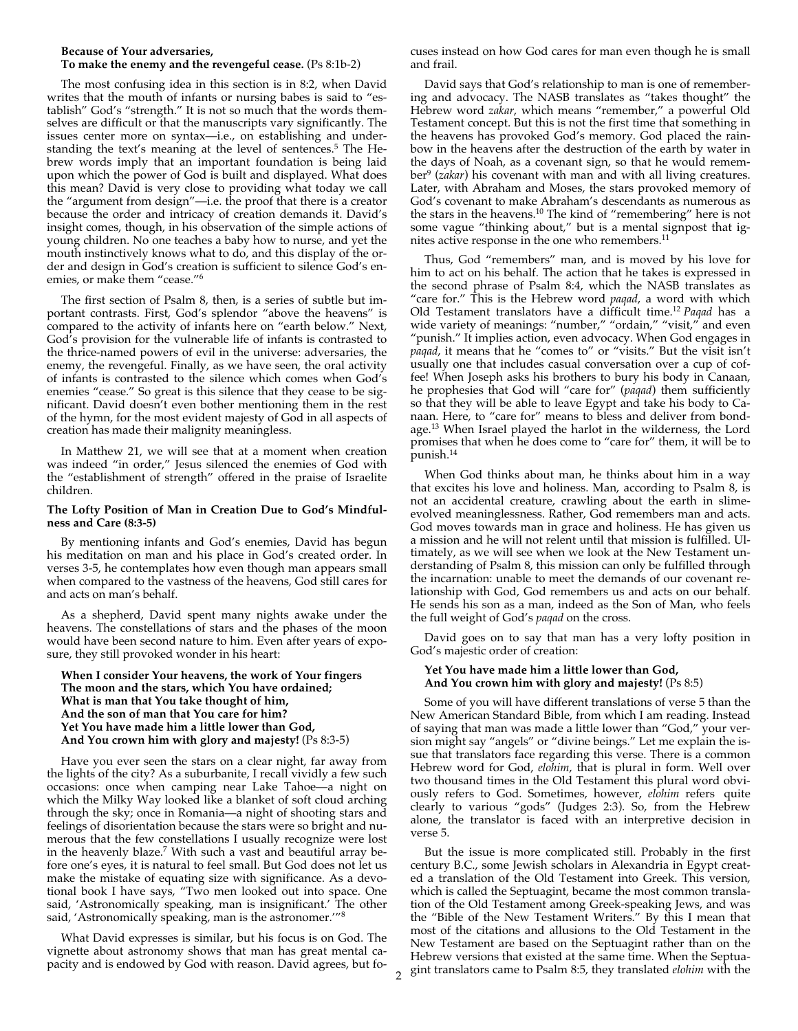#### **Because of Your adversaries, To make the enemy and the revengeful cease.** (Ps 8:1b-2)

The most confusing idea in this section is in 8:2, when David writes that the mouth of infants or nursing babes is said to "establish" God's "strength." It is not so much that the words themselves are difficult or that the manuscripts vary significantly. The issues center more on syntax—i.e., on establishing and understanding the text's meaning at the level of sentences.<sup>5</sup> The Hebrew words imply that an important foundation is being laid upon which the power of God is built and displayed. What does this mean? David is very close to providing what today we call the "argument from design"—i.e. the proof that there is a creator because the order and intricacy of creation demands it. David's insight comes, though, in his observation of the simple actions of young children. No one teaches a baby how to nurse, and yet the mouth instinctively knows what to do, and this display of the order and design in God's creation is sufficient to silence God's enemies, or make them "cease."6

The first section of Psalm 8, then, is a series of subtle but important contrasts. First, God's splendor "above the heavens" is compared to the activity of infants here on "earth below." Next, God's provision for the vulnerable life of infants is contrasted to the thrice-named powers of evil in the universe: adversaries, the enemy, the revengeful. Finally, as we have seen, the oral activity of infants is contrasted to the silence which comes when God's enemies "cease." So great is this silence that they cease to be significant. David doesn't even bother mentioning them in the rest of the hymn, for the most evident majesty of God in all aspects of creation has made their malignity meaningless.

In Matthew 21, we will see that at a moment when creation was indeed "in order," Jesus silenced the enemies of God with the "establishment of strength" offered in the praise of Israelite children.

#### **The Lofty Position of Man in Creation Due to God's Mindfulness and Care (8:3-5)**

By mentioning infants and God's enemies, David has begun his meditation on man and his place in God's created order. In verses 3-5, he contemplates how even though man appears small when compared to the vastness of the heavens, God still cares for and acts on man's behalf.

As a shepherd, David spent many nights awake under the heavens. The constellations of stars and the phases of the moon would have been second nature to him. Even after years of exposure, they still provoked wonder in his heart:

**When I consider Your heavens, the work of Your fingers The moon and the stars, which You have ordained; What is man that You take thought of him, And the son of man that You care for him? Yet You have made him a little lower than God, And You crown him with glory and majesty!** (Ps 8:3-5)

Have you ever seen the stars on a clear night, far away from the lights of the city? As a suburbanite, I recall vividly a few such occasions: once when camping near Lake Tahoe—a night on which the Milky Way looked like a blanket of soft cloud arching through the sky; once in Romania—a night of shooting stars and feelings of disorientation because the stars were so bright and numerous that the few constellations I usually recognize were lost in the heavenly blaze.<sup>7</sup> With such a vast and beautiful array before one's eyes, it is natural to feel small. But God does not let us make the mistake of equating size with significance. As a devotional book I have says, "Two men looked out into space. One said, 'Astronomically speaking, man is insignificant.' The other said, 'Astronomically speaking, man is the astronomer.'"8

What David expresses is similar, but his focus is on God. The vignette about astronomy shows that man has great mental capacity and is endowed by God with reason. David agrees, but focuses instead on how God cares for man even though he is small and frail.

David says that God's relationship to man is one of remembering and advocacy. The NASB translates as "takes thought" the Hebrew word *zakar*, which means "remember," a powerful Old Testament concept. But this is not the first time that something in the heavens has provoked God's memory. God placed the rainbow in the heavens after the destruction of the earth by water in the days of Noah, as a covenant sign, so that he would remember9 (*zakar*) his covenant with man and with all living creatures. Later, with Abraham and Moses, the stars provoked memory of God's covenant to make Abraham's descendants as numerous as the stars in the heavens.10 The kind of "remembering" here is not some vague "thinking about," but is a mental signpost that ignites active response in the one who remembers.<sup>1</sup>

Thus, God "remembers" man, and is moved by his love for him to act on his behalf. The action that he takes is expressed in the second phrase of Psalm 8:4, which the NASB translates as "care for." This is the Hebrew word *paqad*, a word with which Old Testament translators have a difficult time.12 *Paqad* has a wide variety of meanings: "number," "ordain," "visit," and even "punish." It implies action, even advocacy. When God engages in *paqad*, it means that he "comes to" or "visits." But the visit isn't usually one that includes casual conversation over a cup of coffee! When Joseph asks his brothers to bury his body in Canaan, he prophesies that God will "care for" (*paqad*) them sufficiently so that they will be able to leave Egypt and take his body to Canaan. Here, to "care for" means to bless and deliver from bondage.13 When Israel played the harlot in the wilderness, the Lord promises that when he does come to "care for" them, it will be to punish.14

When God thinks about man, he thinks about him in a way that excites his love and holiness. Man, according to Psalm 8, is not an accidental creature, crawling about the earth in slimeevolved meaninglessness. Rather, God remembers man and acts. God moves towards man in grace and holiness. He has given us a mission and he will not relent until that mission is fulfilled. Ultimately, as we will see when we look at the New Testament understanding of Psalm 8, this mission can only be fulfilled through the incarnation: unable to meet the demands of our covenant relationship with God, God remembers us and acts on our behalf. He sends his son as a man, indeed as the Son of Man, who feels the full weight of God's *paqad* on the cross.

David goes on to say that man has a very lofty position in God's majestic order of creation:

#### **Yet You have made him a little lower than God, And You crown him with glory and majesty!** (Ps 8:5)

Some of you will have different translations of verse 5 than the New American Standard Bible, from which I am reading. Instead of saying that man was made a little lower than "God," your version might say "angels" or "divine beings." Let me explain the issue that translators face regarding this verse. There is a common Hebrew word for God, *elohim*, that is plural in form. Well over two thousand times in the Old Testament this plural word obviously refers to God. Sometimes, however, *elohim* refers quite clearly to various "gods" (Judges 2:3). So, from the Hebrew alone, the translator is faced with an interpretive decision in verse 5.

But the issue is more complicated still. Probably in the first century B.C., some Jewish scholars in Alexandria in Egypt created a translation of the Old Testament into Greek. This version, which is called the Septuagint, became the most common translation of the Old Testament among Greek-speaking Jews, and was the "Bible of the New Testament Writers." By this I mean that most of the citations and allusions to the Old Testament in the New Testament are based on the Septuagint rather than on the Hebrew versions that existed at the same time. When the Septuagint translators came to Psalm 8:5, they translated *elohim* with the 2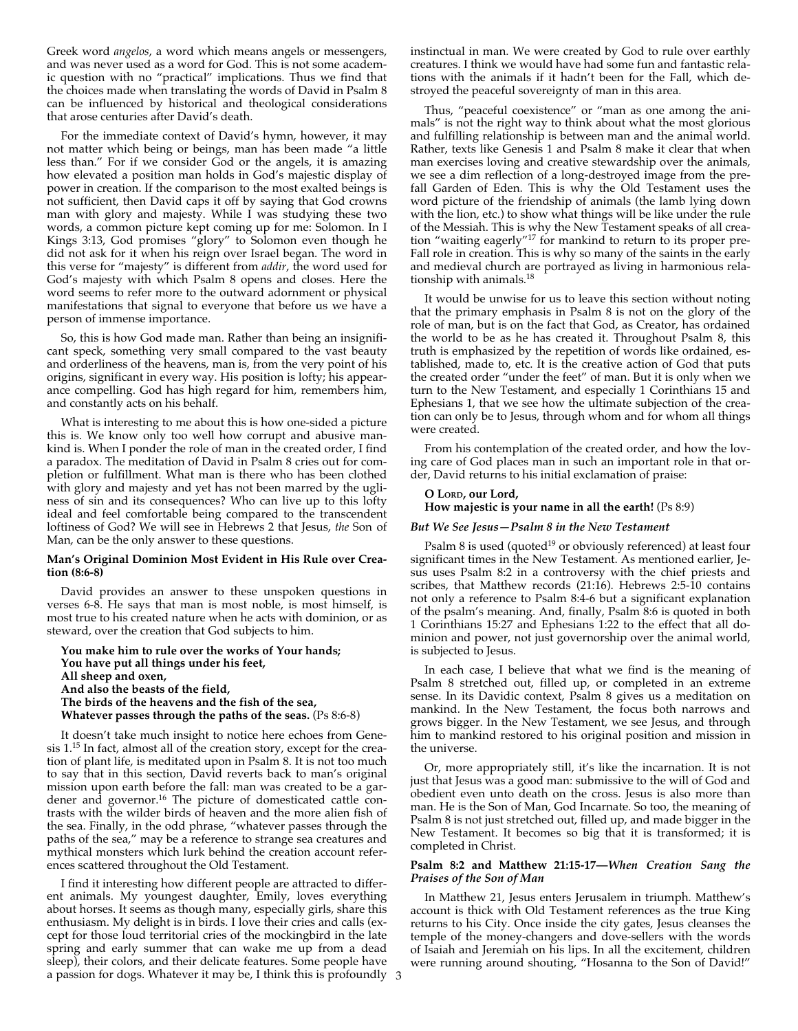Greek word *angelos*, a word which means angels or messengers, and was never used as a word for God. This is not some academic question with no "practical" implications. Thus we find that the choices made when translating the words of David in Psalm 8 can be influenced by historical and theological considerations that arose centuries after David's death.

For the immediate context of David's hymn, however, it may not matter which being or beings, man has been made "a little less than." For if we consider God or the angels, it is amazing how elevated a position man holds in God's majestic display of power in creation. If the comparison to the most exalted beings is not sufficient, then David caps it off by saying that God crowns man with glory and majesty. While I was studying these two words, a common picture kept coming up for me: Solomon. In I Kings 3:13, God promises "glory" to Solomon even though he did not ask for it when his reign over Israel began. The word in this verse for "majesty" is different from *addir*, the word used for God's majesty with which Psalm 8 opens and closes. Here the word seems to refer more to the outward adornment or physical manifestations that signal to everyone that before us we have a person of immense importance.

So, this is how God made man. Rather than being an insignificant speck, something very small compared to the vast beauty and orderliness of the heavens, man is, from the very point of his origins, significant in every way. His position is lofty; his appearance compelling. God has high regard for him, remembers him, and constantly acts on his behalf.

What is interesting to me about this is how one-sided a picture this is. We know only too well how corrupt and abusive mankind is. When I ponder the role of man in the created order, I find a paradox. The meditation of David in Psalm 8 cries out for completion or fulfillment. What man is there who has been clothed with glory and majesty and yet has not been marred by the ugliness of sin and its consequences? Who can live up to this lofty ideal and feel comfortable being compared to the transcendent loftiness of God? We will see in Hebrews 2 that Jesus, *the* Son of Man, can be the only answer to these questions.

#### **Man's Original Dominion Most Evident in His Rule over Creation (8:6-8)**

David provides an answer to these unspoken questions in verses 6-8. He says that man is most noble, is most himself, is most true to his created nature when he acts with dominion, or as steward, over the creation that God subjects to him.

**You make him to rule over the works of Your hands; You have put all things under his feet, All sheep and oxen, And also the beasts of the field, The birds of the heavens and the fish of the sea, Whatever passes through the paths of the seas.** (Ps 8:6-8)

It doesn't take much insight to notice here echoes from Genesis 1.15 In fact, almost all of the creation story, except for the creation of plant life, is meditated upon in Psalm 8. It is not too much to say that in this section, David reverts back to man's original mission upon earth before the fall: man was created to be a gardener and governor.16 The picture of domesticated cattle contrasts with the wilder birds of heaven and the more alien fish of the sea. Finally, in the odd phrase, "whatever passes through the paths of the sea," may be a reference to strange sea creatures and mythical monsters which lurk behind the creation account references scattered throughout the Old Testament.

I find it interesting how different people are attracted to different animals. My youngest daughter, Emily, loves everything about horses. It seems as though many, especially girls, share this enthusiasm. My delight is in birds. I love their cries and calls (except for those loud territorial cries of the mockingbird in the late spring and early summer that can wake me up from a dead sleep), their colors, and their delicate features. Some people have a passion for dogs. Whatever it may be, I think this is profoundly 3

instinctual in man. We were created by God to rule over earthly creatures. I think we would have had some fun and fantastic relations with the animals if it hadn't been for the Fall, which destroyed the peaceful sovereignty of man in this area.

Thus, "peaceful coexistence" or "man as one among the animals" is not the right way to think about what the most glorious and fulfilling relationship is between man and the animal world. Rather, texts like Genesis 1 and Psalm 8 make it clear that when man exercises loving and creative stewardship over the animals, we see a dim reflection of a long-destroyed image from the prefall Garden of Eden. This is why the Old Testament uses the word picture of the friendship of animals (the lamb lying down with the lion, etc.) to show what things will be like under the rule of the Messiah. This is why the New Testament speaks of all creation "waiting eagerly"17 for mankind to return to its proper pre-Fall role in creation. This is why so many of the saints in the early and medieval church are portrayed as living in harmonious relationship with animals.18

It would be unwise for us to leave this section without noting that the primary emphasis in Psalm 8 is not on the glory of the role of man, but is on the fact that God, as Creator, has ordained the world to be as he has created it. Throughout Psalm 8, this truth is emphasized by the repetition of words like ordained, established, made to, etc. It is the creative action of God that puts the created order "under the feet" of man. But it is only when we turn to the New Testament, and especially 1 Corinthians 15 and Ephesians 1, that we see how the ultimate subjection of the creation can only be to Jesus, through whom and for whom all things were created.

From his contemplation of the created order, and how the loving care of God places man in such an important role in that order, David returns to his initial exclamation of praise:

### **O LORD, our Lord,**

#### **How majestic is your name in all the earth!** (Ps 8:9)

#### *But We See Jesus—Psalm 8 in the New Testament*

Psalm 8 is used (quoted<sup>19</sup> or obviously referenced) at least four significant times in the New Testament. As mentioned earlier, Jesus uses Psalm 8:2 in a controversy with the chief priests and scribes, that Matthew records (21:16). Hebrews 2:5-10 contains not only a reference to Psalm 8:4-6 but a significant explanation of the psalm's meaning. And, finally, Psalm 8:6 is quoted in both 1 Corinthians 15:27 and Ephesians 1:22 to the effect that all dominion and power, not just governorship over the animal world, is subjected to Jesus.

In each case, I believe that what we find is the meaning of Psalm 8 stretched out, filled up, or completed in an extreme sense. In its Davidic context, Psalm 8 gives us a meditation on mankind. In the New Testament, the focus both narrows and grows bigger. In the New Testament, we see Jesus, and through him to mankind restored to his original position and mission in the universe.

Or, more appropriately still, it's like the incarnation. It is not just that Jesus was a good man: submissive to the will of God and obedient even unto death on the cross. Jesus is also more than man. He is the Son of Man, God Incarnate. So too, the meaning of Psalm 8 is not just stretched out, filled up, and made bigger in the New Testament. It becomes so big that it is transformed; it is completed in Christ.

#### **Psalm 8:2 and Matthew 21:15-17—***When Creation Sang the Praises of the Son of Man*

In Matthew 21, Jesus enters Jerusalem in triumph. Matthew's account is thick with Old Testament references as the true King returns to his City. Once inside the city gates, Jesus cleanses the temple of the money-changers and dove-sellers with the words of Isaiah and Jeremiah on his lips. In all the excitement, children were running around shouting, "Hosanna to the Son of David!"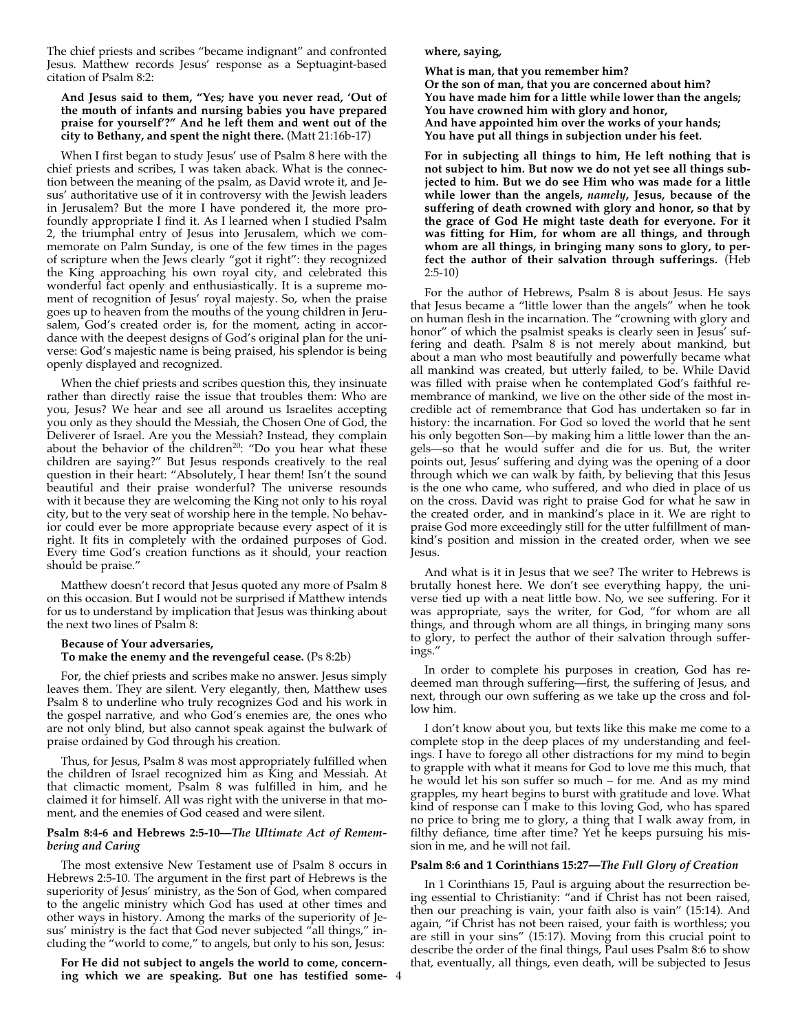The chief priests and scribes "became indignant" and confronted Jesus. Matthew records Jesus' response as a Septuagint-based citation of Psalm 8:2:

#### **And Jesus said to them, "Yes; have you never read, 'Out of the mouth of infants and nursing babies you have prepared praise for yourself'?" And he left them and went out of the city to Bethany, and spent the night there.** (Matt 21:16b-17)

When I first began to study Jesus' use of Psalm 8 here with the chief priests and scribes, I was taken aback. What is the connection between the meaning of the psalm, as David wrote it, and Jesus' authoritative use of it in controversy with the Jewish leaders in Jerusalem? But the more I have pondered it, the more profoundly appropriate I find it. As I learned when I studied Psalm 2, the triumphal entry of Jesus into Jerusalem, which we commemorate on Palm Sunday, is one of the few times in the pages of scripture when the Jews clearly "got it right": they recognized the King approaching his own royal city, and celebrated this wonderful fact openly and enthusiastically. It is a supreme moment of recognition of Jesus' royal majesty. So, when the praise goes up to heaven from the mouths of the young children in Jerusalem, God's created order is, for the moment, acting in accordance with the deepest designs of God's original plan for the universe: God's majestic name is being praised, his splendor is being openly displayed and recognized.

When the chief priests and scribes question this, they insinuate rather than directly raise the issue that troubles them: Who are you, Jesus? We hear and see all around us Israelites accepting you only as they should the Messiah, the Chosen One of God, the Deliverer of Israel. Are you the Messiah? Instead, they complain about the behavior of the children<sup>20</sup>: "Do you hear what these children are saying?" But Jesus responds creatively to the real question in their heart: "Absolutely, I hear them! Isn't the sound beautiful and their praise wonderful? The universe resounds with it because they are welcoming the King not only to his royal city, but to the very seat of worship here in the temple. No behavior could ever be more appropriate because every aspect of it is right. It fits in completely with the ordained purposes of God. Every time God's creation functions as it should, your reaction should be praise."

Matthew doesn't record that Jesus quoted any more of Psalm 8 on this occasion. But I would not be surprised if Matthew intends for us to understand by implication that Jesus was thinking about the next two lines of Psalm 8:

#### **Because of Your adversaries, To make the enemy and the revengeful cease.** (Ps 8:2b)

For, the chief priests and scribes make no answer. Jesus simply leaves them. They are silent. Very elegantly, then, Matthew uses Psalm 8 to underline who truly recognizes God and his work in the gospel narrative, and who God's enemies are, the ones who are not only blind, but also cannot speak against the bulwark of praise ordained by God through his creation.

Thus, for Jesus, Psalm 8 was most appropriately fulfilled when the children of Israel recognized him as King and Messiah. At that climactic moment, Psalm 8 was fulfilled in him, and he claimed it for himself. All was right with the universe in that moment, and the enemies of God ceased and were silent.

#### **Psalm 8:4-6 and Hebrews 2:5-10—***The Ultimate Act of Remembering and Caring*

The most extensive New Testament use of Psalm 8 occurs in Hebrews 2:5-10. The argument in the first part of Hebrews is the superiority of Jesus' ministry, as the Son of God, when compared to the angelic ministry which God has used at other times and other ways in history. Among the marks of the superiority of Jesus' ministry is the fact that God never subjected "all things," including the "world to come," to angels, but only to his son, Jesus:

**For He did not subject to angels the world to come, concerning which we are speaking. But one has testified some-**4

#### **where, saying,**

**What is man, that you remember him? Or the son of man, that you are concerned about him? You have made him for a little while lower than the angels; You have crowned him with glory and honor, And have appointed him over the works of your hands; You have put all things in subjection under his feet.**

**For in subjecting all things to him, He left nothing that is not subject to him. But now we do not yet see all things subjected to him. But we do see Him who was made for a little while lower than the angels,** *namely***, Jesus, because of the suffering of death crowned with glory and honor, so that by the grace of God He might taste death for everyone. For it was fitting for Him, for whom are all things, and through whom are all things, in bringing many sons to glory, to perfect the author of their salvation through sufferings.** (Heb 2:5-10)

For the author of Hebrews, Psalm 8 is about Jesus. He says that Jesus became a "little lower than the angels" when he took on human flesh in the incarnation. The "crowning with glory and honor" of which the psalmist speaks is clearly seen in Jesus' suffering and death. Psalm 8 is not merely about mankind, but about a man who most beautifully and powerfully became what all mankind was created, but utterly failed, to be. While David was filled with praise when he contemplated God's faithful remembrance of mankind, we live on the other side of the most incredible act of remembrance that God has undertaken so far in history: the incarnation. For God so loved the world that he sent his only begotten Son—by making him a little lower than the angels—so that he would suffer and die for us. But, the writer points out, Jesus' suffering and dying was the opening of a door through which we can walk by faith, by believing that this Jesus is the one who came, who suffered, and who died in place of us on the cross. David was right to praise God for what he saw in the created order, and in mankind's place in it. We are right to praise God more exceedingly still for the utter fulfillment of mankind's position and mission in the created order, when we see Jesus.

And what is it in Jesus that we see? The writer to Hebrews is brutally honest here. We don't see everything happy, the universe tied up with a neat little bow. No, we see suffering. For it was appropriate, says the writer, for God, "for whom are all things, and through whom are all things, in bringing many sons to glory, to perfect the author of their salvation through sufferings."

In order to complete his purposes in creation, God has redeemed man through suffering—first, the suffering of Jesus, and next, through our own suffering as we take up the cross and follow him.

I don't know about you, but texts like this make me come to a complete stop in the deep places of my understanding and feelings. I have to forego all other distractions for my mind to begin to grapple with what it means for God to love me this much, that he would let his son suffer so much – for me. And as my mind grapples, my heart begins to burst with gratitude and love. What kind of response can I make to this loving God, who has spared no price to bring me to glory, a thing that I walk away from, in filthy defiance, time after time? Yet he keeps pursuing his mission in me, and he will not fail.

#### **Psalm 8:6 and 1 Corinthians 15:27—***The Full Glory of Creation*

In 1 Corinthians 15, Paul is arguing about the resurrection being essential to Christianity: "and if Christ has not been raised, then our preaching is vain, your faith also is vain" (15:14). And again, "if Christ has not been raised, your faith is worthless; you are still in your sins" (15:17). Moving from this crucial point to describe the order of the final things, Paul uses Psalm 8:6 to show that, eventually, all things, even death, will be subjected to Jesus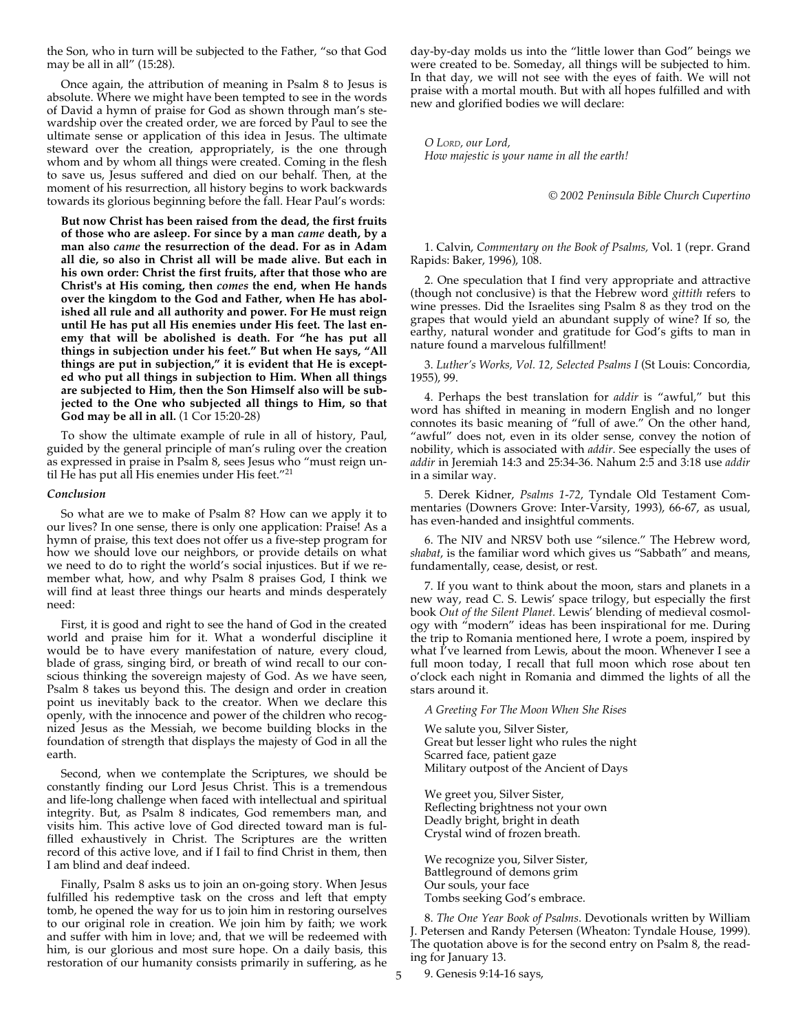the Son, who in turn will be subjected to the Father, "so that God may be all in all" (15:28).

Once again, the attribution of meaning in Psalm 8 to Jesus is absolute. Where we might have been tempted to see in the words of David a hymn of praise for God as shown through man's stewardship over the created order, we are forced by Paul to see the ultimate sense or application of this idea in Jesus. The ultimate steward over the creation, appropriately, is the one through whom and by whom all things were created. Coming in the flesh to save us, Jesus suffered and died on our behalf. Then, at the moment of his resurrection, all history begins to work backwards towards its glorious beginning before the fall. Hear Paul's words:

**But now Christ has been raised from the dead, the first fruits of those who are asleep. For since by a man** *came* **death, by a man also** *came* **the resurrection of the dead. For as in Adam all die, so also in Christ all will be made alive. But each in his own order: Christ the first fruits, after that those who are Christ's at His coming, then** *comes* **the end, when He hands over the kingdom to the God and Father, when He has abolished all rule and all authority and power. For He must reign until He has put all His enemies under His feet. The last enemy that will be abolished is death. For "he has put all things in subjection under his feet." But when He says, "All things are put in subjection," it is evident that He is excepted who put all things in subjection to Him. When all things are subjected to Him, then the Son Himself also will be subjected to the One who subjected all things to Him, so that God may be all in all.** (1 Cor 15:20-28)

To show the ultimate example of rule in all of history, Paul, guided by the general principle of man's ruling over the creation as expressed in praise in Psalm 8, sees Jesus who "must reign until He has put all His enemies under His feet."21

#### *Conclusion*

So what are we to make of Psalm 8? How can we apply it to our lives? In one sense, there is only one application: Praise! As a hymn of praise, this text does not offer us a five-step program for how we should love our neighbors, or provide details on what we need to do to right the world's social injustices. But if we remember what, how, and why Psalm 8 praises God, I think we will find at least three things our hearts and minds desperately need:

First, it is good and right to see the hand of God in the created world and praise him for it. What a wonderful discipline it would be to have every manifestation of nature, every cloud, blade of grass, singing bird, or breath of wind recall to our conscious thinking the sovereign majesty of God. As we have seen, Psalm 8 takes us beyond this. The design and order in creation point us inevitably back to the creator. When we declare this openly, with the innocence and power of the children who recognized Jesus as the Messiah, we become building blocks in the foundation of strength that displays the majesty of God in all the earth.

Second, when we contemplate the Scriptures, we should be constantly finding our Lord Jesus Christ. This is a tremendous and life-long challenge when faced with intellectual and spiritual integrity. But, as Psalm 8 indicates, God remembers man, and visits him. This active love of God directed toward man is fulfilled exhaustively in Christ. The Scriptures are the written record of this active love, and if I fail to find Christ in them, then I am blind and deaf indeed.

Finally, Psalm 8 asks us to join an on-going story. When Jesus fulfilled his redemptive task on the cross and left that empty tomb, he opened the way for us to join him in restoring ourselves to our original role in creation. We join him by faith; we work and suffer with him in love; and, that we will be redeemed with him, is our glorious and most sure hope. On a daily basis, this restoration of our humanity consists primarily in suffering, as he

day-by-day molds us into the "little lower than God" beings we were created to be. Someday, all things will be subjected to him. In that day, we will not see with the eyes of faith. We will not praise with a mortal mouth. But with all hopes fulfilled and with new and glorified bodies we will declare:

*O LORD, our Lord, How majestic is your name in all the earth!*

*© 2002 Peninsula Bible Church Cupertino*

1. Calvin, *Commentary on the Book of Psalms,* Vol. 1 (repr. Grand Rapids: Baker, 1996), 108.

2. One speculation that I find very appropriate and attractive (though not conclusive) is that the Hebrew word *gittith* refers to wine presses. Did the Israelites sing Psalm 8 as they trod on the grapes that would yield an abundant supply of wine? If so, the earthy, natural wonder and gratitude for God's gifts to man in nature found a marvelous fulfillment!

3. *Luther's Works, Vol. 12, Selected Psalms I* (St Louis: Concordia, 1955), 99.

4. Perhaps the best translation for *addir* is "awful," but this word has shifted in meaning in modern English and no longer connotes its basic meaning of "full of awe." On the other hand, "awful" does not, even in its older sense, convey the notion of nobility, which is associated with *addir*. See especially the uses of *addir* in Jeremiah 14:3 and 25:34-36. Nahum 2:5 and 3:18 use *addir* in a similar way.

5. Derek Kidner, *Psalms 1-72*, Tyndale Old Testament Commentaries (Downers Grove: Inter-Varsity, 1993), 66-67, as usual, has even-handed and insightful comments.

6. The NIV and NRSV both use "silence." The Hebrew word, *shabat*, is the familiar word which gives us "Sabbath" and means, fundamentally, cease, desist, or rest.

7. If you want to think about the moon, stars and planets in a new way, read C. S. Lewis' space trilogy, but especially the first book *Out of the Silent Planet.* Lewis' blending of medieval cosmology with "modern" ideas has been inspirational for me. During the trip to Romania mentioned here, I wrote a poem, inspired by what I've learned from Lewis, about the moon. Whenever I see a full moon today, I recall that full moon which rose about ten o'clock each night in Romania and dimmed the lights of all the stars around it.

*A Greeting For The Moon When She Rises*

We salute you, Silver Sister, Great but lesser light who rules the night Scarred face, patient gaze Military outpost of the Ancient of Days

We greet you, Silver Sister, Reflecting brightness not your own Deadly bright, bright in death Crystal wind of frozen breath.

We recognize you, Silver Sister, Battleground of demons grim Our souls, your face Tombs seeking God's embrace.

8. *The One Year Book of Psalms*. Devotionals written by William J. Petersen and Randy Petersen (Wheaton: Tyndale House, 1999). The quotation above is for the second entry on Psalm 8, the reading for January 13.

5 9. Genesis 9:14-16 says,